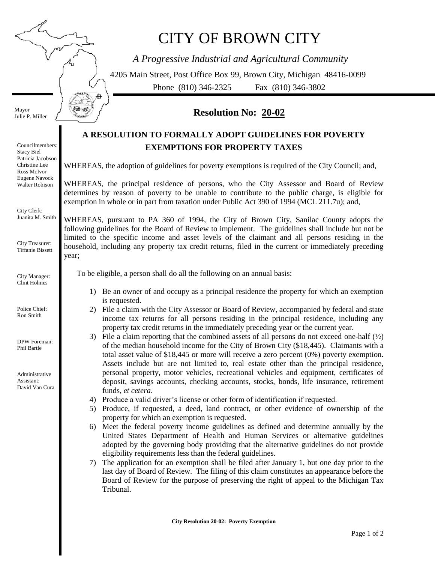# CITY OF BROWN CITY

*A Progressive Industrial and Agricultural Community*

4205 Main Street, Post Office Box 99, Brown City, Michigan 48416-0099 Phone (810) 346-2325 Fax (810) 346-3802

## **Resolution No: 20-02**

## **A RESOLUTION TO FORMALLY ADOPT GUIDELINES FOR POVERTY EXEMPTIONS FOR PROPERTY TAXES**

WHEREAS, the adoption of guidelines for poverty exemptions is required of the City Council; and,

WHEREAS, the principal residence of persons, who the City Assessor and Board of Review determines by reason of poverty to be unable to contribute to the public charge, is eligible for exemption in whole or in part from taxation under Public Act 390 of 1994 (MCL 211.7u); and,

WHEREAS, pursuant to PA 360 of 1994, the City of Brown City, Sanilac County adopts the following guidelines for the Board of Review to implement. The guidelines shall include but not be limited to the specific income and asset levels of the claimant and all persons residing in the household, including any property tax credit returns, filed in the current or immediately preceding year;

To be eligible, a person shall do all the following on an annual basis:

- 1) Be an owner of and occupy as a principal residence the property for which an exemption is requested.
- 2) File a claim with the City Assessor or Board of Review, accompanied by federal and state income tax returns for all persons residing in the principal residence, including any property tax credit returns in the immediately preceding year or the current year.
- 3) File a claim reporting that the combined assets of all persons do not exceed one-half  $(\frac{1}{2})$ of the median household income for the City of Brown City (\$18,445). Claimants with a total asset value of \$18,445 or more will receive a zero percent (0%) poverty exemption. Assets include but are not limited to, real estate other than the principal residence, personal property, motor vehicles, recreational vehicles and equipment, certificates of deposit, savings accounts, checking accounts, stocks, bonds, life insurance, retirement funds, *et cetera*.
- 4) Produce a valid driver's license or other form of identification if requested.
- 5) Produce, if requested, a deed, land contract, or other evidence of ownership of the property for which an exemption is requested.
- 6) Meet the federal poverty income guidelines as defined and determine annually by the United States Department of Health and Human Services or alternative guidelines adopted by the governing body providing that the alternative guidelines do not provide eligibility requirements less than the federal guidelines.
- 7) The application for an exemption shall be filed after January 1, but one day prior to the last day of Board of Review. The filing of this claim constitutes an appearance before the Board of Review for the purpose of preserving the right of appeal to the Michigan Tax Tribunal.

Councilmembers: Stacy Biel Patricia Jacobson Christine Lee Ross McIvor Eugene Navock Walter Robison

Mayor Julie P. Miller

City Clerk: Juanita M. Smith

City Treasurer: Tiffanie Bissett

City Manager: Clint Holmes

Police Chief: Ron Smith

DPW Foreman: Phil Bartle

Administrative Assistant: David Van Cura